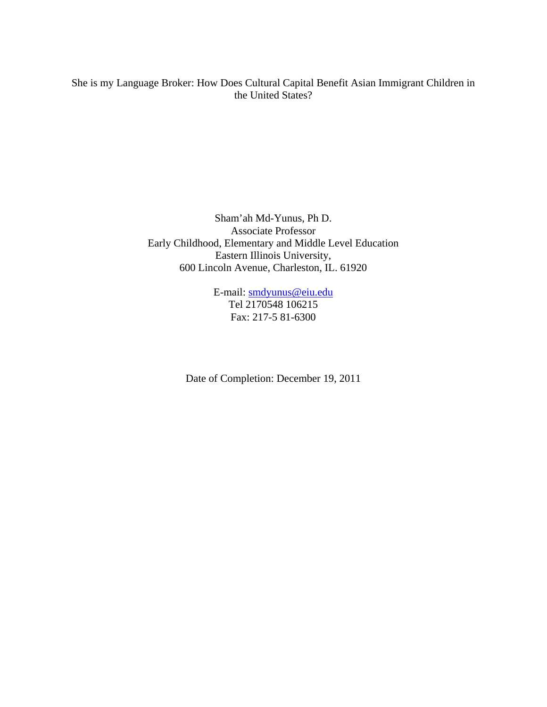# She is my Language Broker: How Does Cultural Capital Benefit Asian Immigrant Children in the United States?

Sham'ah Md-Yunus, Ph D. Associate Professor Early Childhood, Elementary and Middle Level Education Eastern Illinois University, 600 Lincoln Avenue, Charleston, IL. 61920

> E-mail: smdyunus@eiu.edu Tel 2170548 106215 Fax: 217-5 81-6300

Date of Completion: December 19, 2011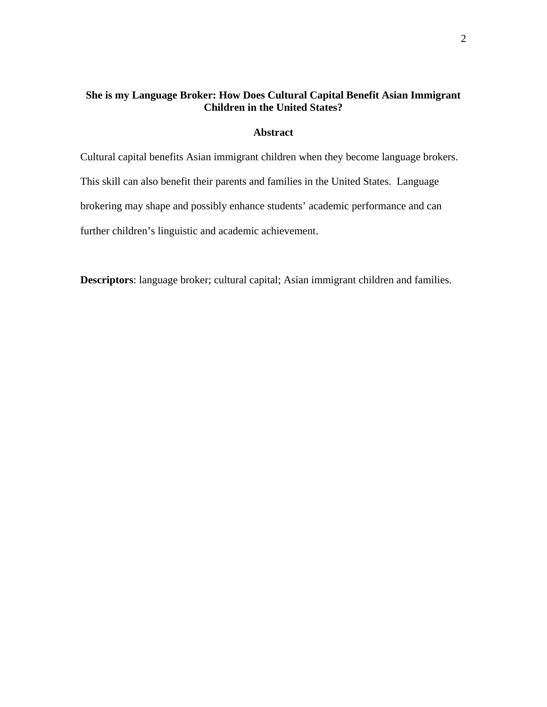# **She is my Language Broker: How Does Cultural Capital Benefit Asian Immigrant Children in the United States?**

## **Abstract**

Cultural capital benefits Asian immigrant children when they become language brokers. This skill can also benefit their parents and families in the United States. Language brokering may shape and possibly enhance students' academic performance and can further children's linguistic and academic achievement.

**Descriptors**: language broker; cultural capital; Asian immigrant children and families.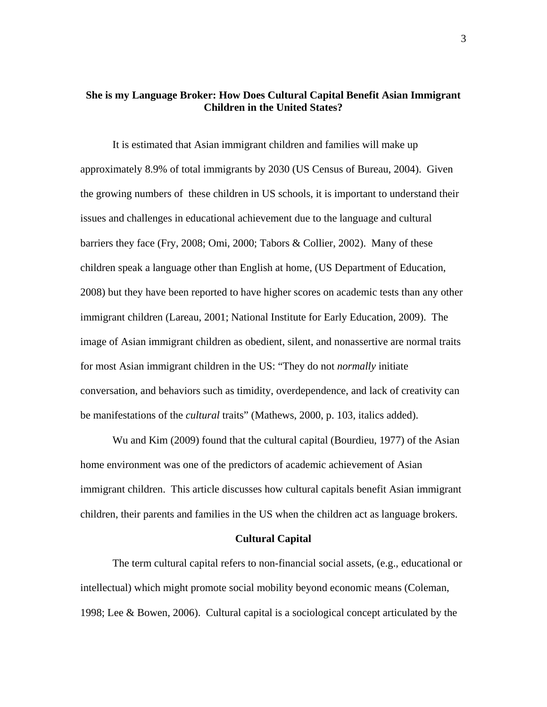## **She is my Language Broker: How Does Cultural Capital Benefit Asian Immigrant Children in the United States?**

It is estimated that Asian immigrant children and families will make up approximately 8.9% of total immigrants by 2030 (US Census of Bureau, 2004). Given the growing numbers of these children in US schools, it is important to understand their issues and challenges in educational achievement due to the language and cultural barriers they face (Fry, 2008; Omi, 2000; Tabors & Collier, 2002). Many of these children speak a language other than English at home, (US Department of Education, 2008) but they have been reported to have higher scores on academic tests than any other immigrant children (Lareau, 2001; National Institute for Early Education, 2009). The image of Asian immigrant children as obedient, silent, and nonassertive are normal traits for most Asian immigrant children in the US: "They do not *normally* initiate conversation, and behaviors such as timidity, overdependence, and lack of creativity can be manifestations of the *cultural* traits" (Mathews, 2000, p. 103, italics added).

Wu and Kim (2009) found that the cultural capital (Bourdieu, 1977) of the Asian home environment was one of the predictors of academic achievement of Asian immigrant children. This article discusses how cultural capitals benefit Asian immigrant children, their parents and families in the US when the children act as language brokers.

#### **Cultural Capital**

The term cultural capital refers to non-financial social assets, (e.g., educational or intellectual) which might promote social mobility beyond economic means (Coleman, 1998; Lee & Bowen, 2006). Cultural capital is a sociological concept articulated by the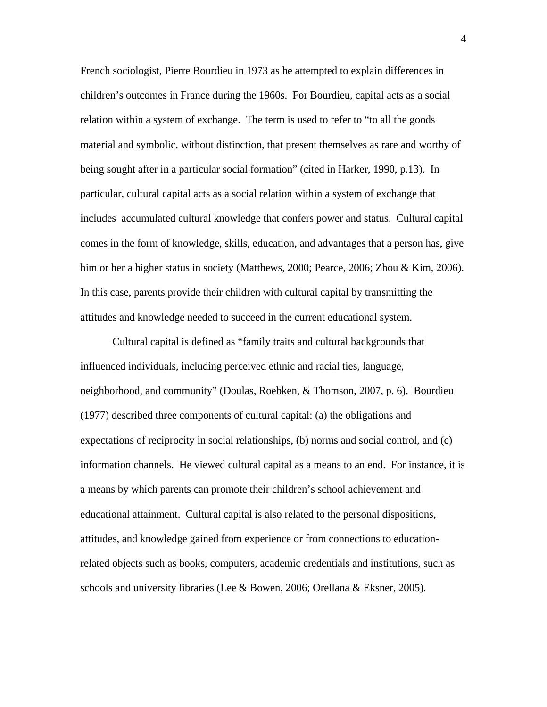French sociologist, Pierre Bourdieu in 1973 as he attempted to explain differences in children's outcomes in France during the 1960s. For Bourdieu, capital acts as a social relation within a system of exchange. The term is used to refer to "to all the goods material and symbolic, without distinction, that present themselves as rare and worthy of being sought after in a particular social formation" (cited in Harker, 1990, p.13). In particular, cultural capital acts as a social relation within a system of exchange that includes accumulated cultural knowledge that confers power and status. Cultural capital comes in the form of knowledge, skills, education, and advantages that a person has, give him or her a higher status in society (Matthews, 2000; Pearce, 2006; Zhou & Kim, 2006). In this case, parents provide their children with cultural capital by transmitting the attitudes and knowledge needed to succeed in the current educational system.

Cultural capital is defined as "family traits and cultural backgrounds that influenced individuals, including perceived ethnic and racial ties, language, neighborhood, and community" (Doulas, Roebken, & Thomson, 2007, p. 6). Bourdieu (1977) described three components of cultural capital: (a) the obligations and expectations of reciprocity in social relationships, (b) norms and social control, and (c) information channels. He viewed cultural capital as a means to an end. For instance, it is a means by which parents can promote their children's school achievement and educational attainment. Cultural capital is also related to the personal dispositions, attitudes, and knowledge gained from experience or from connections to educationrelated objects such as books, computers, academic credentials and institutions, such as schools and university libraries (Lee & Bowen, 2006; Orellana & Eksner, 2005).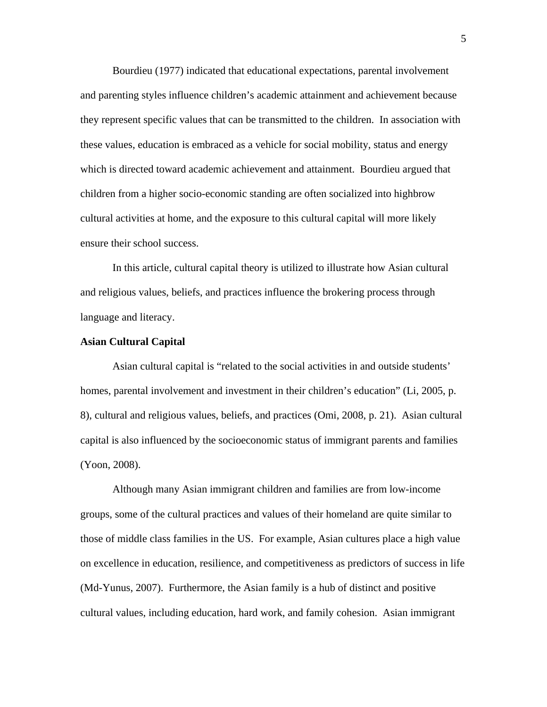Bourdieu (1977) indicated that educational expectations, parental involvement and parenting styles influence children's academic attainment and achievement because they represent specific values that can be transmitted to the children. In association with these values, education is embraced as a vehicle for social mobility, status and energy which is directed toward academic achievement and attainment. Bourdieu argued that children from a higher socio-economic standing are often socialized into highbrow cultural activities at home, and the exposure to this cultural capital will more likely ensure their school success.

In this article, cultural capital theory is utilized to illustrate how Asian cultural and religious values, beliefs, and practices influence the brokering process through language and literacy.

#### **Asian Cultural Capital**

Asian cultural capital is "related to the social activities in and outside students' homes, parental involvement and investment in their children's education" (Li, 2005, p. 8), cultural and religious values, beliefs, and practices (Omi, 2008, p. 21). Asian cultural capital is also influenced by the socioeconomic status of immigrant parents and families (Yoon, 2008).

Although many Asian immigrant children and families are from low-income groups, some of the cultural practices and values of their homeland are quite similar to those of middle class families in the US. For example, Asian cultures place a high value on excellence in education, resilience, and competitiveness as predictors of success in life (Md-Yunus, 2007). Furthermore, the Asian family is a hub of distinct and positive cultural values, including education, hard work, and family cohesion. Asian immigrant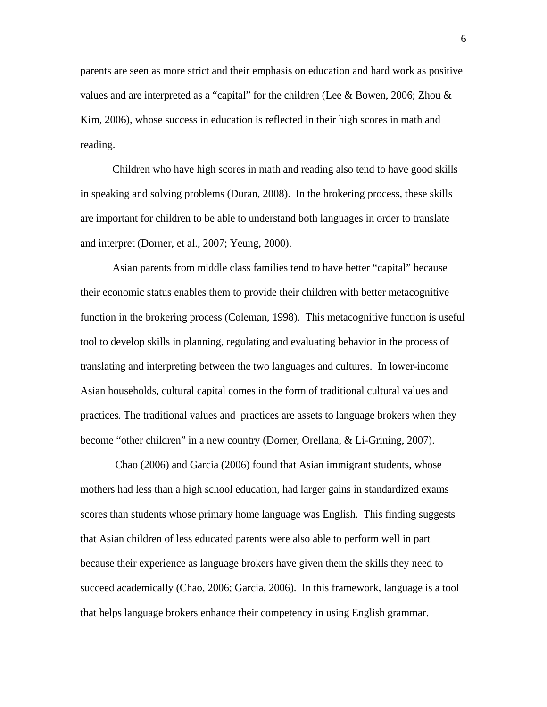parents are seen as more strict and their emphasis on education and hard work as positive values and are interpreted as a "capital" for the children (Lee & Bowen, 2006; Zhou  $\&$ Kim, 2006), whose success in education is reflected in their high scores in math and reading.

Children who have high scores in math and reading also tend to have good skills in speaking and solving problems (Duran, 2008). In the brokering process, these skills are important for children to be able to understand both languages in order to translate and interpret (Dorner, et al., 2007; Yeung, 2000).

Asian parents from middle class families tend to have better "capital" because their economic status enables them to provide their children with better metacognitive function in the brokering process (Coleman, 1998). This metacognitive function is useful tool to develop skills in planning, regulating and evaluating behavior in the process of translating and interpreting between the two languages and cultures. In lower-income Asian households, cultural capital comes in the form of traditional cultural values and practices*.* The traditional values and practices are assets to language brokers when they become "other children" in a new country (Dorner, Orellana, & Li-Grining, 2007).

Chao (2006) and Garcia (2006) found that Asian immigrant students, whose mothers had less than a high school education, had larger gains in standardized exams scores than students whose primary home language was English. This finding suggests that Asian children of less educated parents were also able to perform well in part because their experience as language brokers have given them the skills they need to succeed academically (Chao, 2006; Garcia, 2006). In this framework, language is a tool that helps language brokers enhance their competency in using English grammar.

6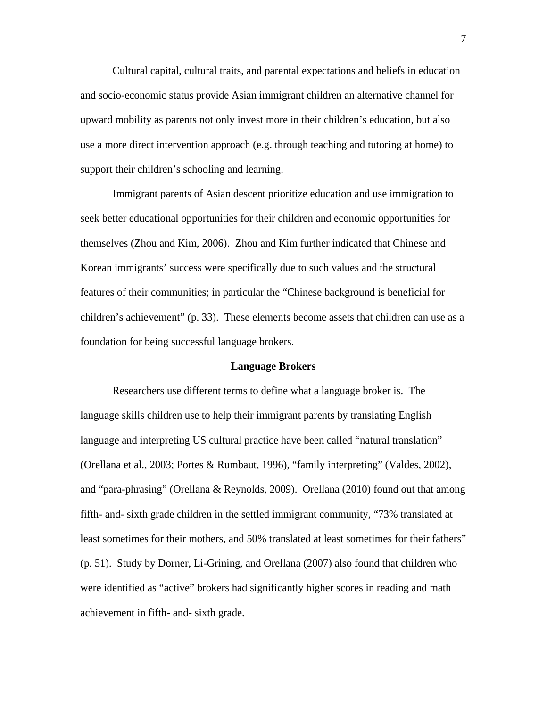Cultural capital, cultural traits, and parental expectations and beliefs in education and socio-economic status provide Asian immigrant children an alternative channel for upward mobility as parents not only invest more in their children's education, but also use a more direct intervention approach (e.g. through teaching and tutoring at home) to support their children's schooling and learning.

Immigrant parents of Asian descent prioritize education and use immigration to seek better educational opportunities for their children and economic opportunities for themselves (Zhou and Kim, 2006). Zhou and Kim further indicated that Chinese and Korean immigrants' success were specifically due to such values and the structural features of their communities; in particular the "Chinese background is beneficial for children's achievement" (p. 33). These elements become assets that children can use as a foundation for being successful language brokers.

#### **Language Brokers**

Researchers use different terms to define what a language broker is. The language skills children use to help their immigrant parents by translating English language and interpreting US cultural practice have been called "natural translation" (Orellana et al., 2003; Portes & Rumbaut, 1996), "family interpreting" (Valdes, 2002), and "para-phrasing" (Orellana & Reynolds, 2009). Orellana (2010) found out that among fifth- and- sixth grade children in the settled immigrant community, "73% translated at least sometimes for their mothers, and 50% translated at least sometimes for their fathers" (p. 51). Study by Dorner, Li-Grining, and Orellana (2007) also found that children who were identified as "active" brokers had significantly higher scores in reading and math achievement in fifth- and- sixth grade.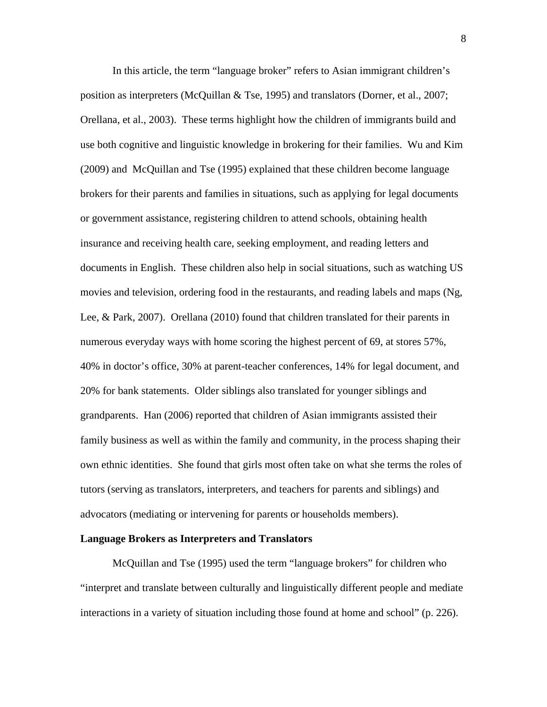In this article, the term "language broker" refers to Asian immigrant children's position as interpreters (McQuillan & Tse, 1995) and translators (Dorner, et al., 2007; Orellana, et al., 2003). These terms highlight how the children of immigrants build and use both cognitive and linguistic knowledge in brokering for their families. Wu and Kim (2009) and McQuillan and Tse (1995) explained that these children become language brokers for their parents and families in situations, such as applying for legal documents or government assistance, registering children to attend schools, obtaining health insurance and receiving health care, seeking employment, and reading letters and documents in English. These children also help in social situations, such as watching US movies and television, ordering food in the restaurants, and reading labels and maps (Ng, Lee, & Park, 2007). Orellana (2010) found that children translated for their parents in numerous everyday ways with home scoring the highest percent of 69, at stores 57%, 40% in doctor's office, 30% at parent-teacher conferences, 14% for legal document, and 20% for bank statements. Older siblings also translated for younger siblings and grandparents. Han (2006) reported that children of Asian immigrants assisted their family business as well as within the family and community, in the process shaping their own ethnic identities. She found that girls most often take on what she terms the roles of tutors (serving as translators, interpreters, and teachers for parents and siblings) and advocators (mediating or intervening for parents or households members).

#### **Language Brokers as Interpreters and Translators**

McQuillan and Tse (1995) used the term "language brokers" for children who "interpret and translate between culturally and linguistically different people and mediate interactions in a variety of situation including those found at home and school" (p. 226).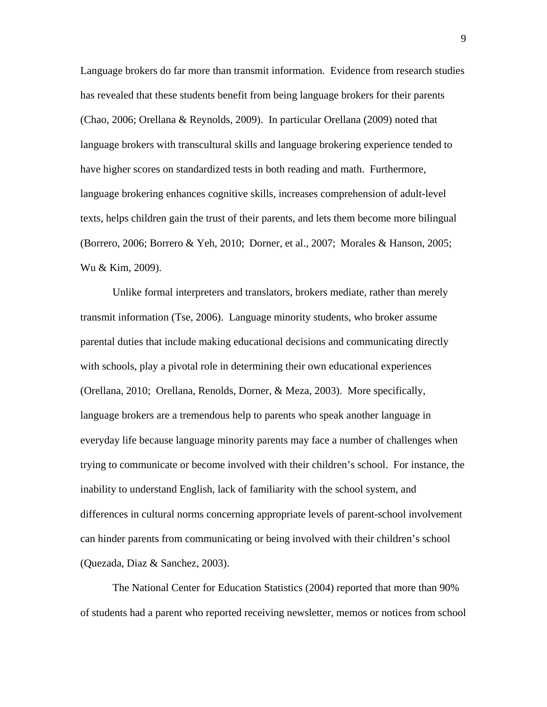Language brokers do far more than transmit information. Evidence from research studies has revealed that these students benefit from being language brokers for their parents (Chao, 2006; Orellana & Reynolds, 2009). In particular Orellana (2009) noted that language brokers with transcultural skills and language brokering experience tended to have higher scores on standardized tests in both reading and math. Furthermore, language brokering enhances cognitive skills, increases comprehension of adult-level texts, helps children gain the trust of their parents, and lets them become more bilingual (Borrero, 2006; Borrero & Yeh, 2010; Dorner, et al., 2007; Morales & Hanson, 2005; Wu & Kim, 2009).

Unlike formal interpreters and translators, brokers mediate, rather than merely transmit information (Tse, 2006). Language minority students, who broker assume parental duties that include making educational decisions and communicating directly with schools, play a pivotal role in determining their own educational experiences (Orellana, 2010; Orellana, Renolds, Dorner, & Meza, 2003). More specifically, language brokers are a tremendous help to parents who speak another language in everyday life because language minority parents may face a number of challenges when trying to communicate or become involved with their children's school. For instance, the inability to understand English, lack of familiarity with the school system, and differences in cultural norms concerning appropriate levels of parent-school involvement can hinder parents from communicating or being involved with their children's school (Quezada, Diaz & Sanchez, 2003).

The National Center for Education Statistics (2004) reported that more than 90% of students had a parent who reported receiving newsletter, memos or notices from school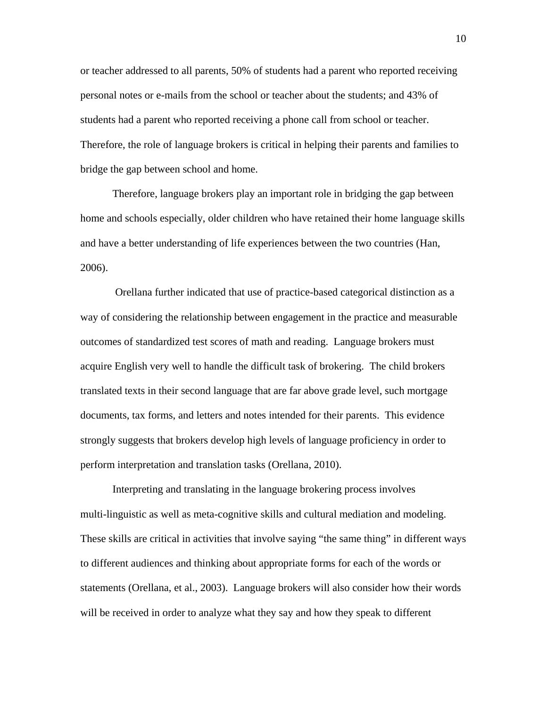or teacher addressed to all parents, 50% of students had a parent who reported receiving personal notes or e-mails from the school or teacher about the students; and 43% of students had a parent who reported receiving a phone call from school or teacher. Therefore, the role of language brokers is critical in helping their parents and families to bridge the gap between school and home.

Therefore, language brokers play an important role in bridging the gap between home and schools especially, older children who have retained their home language skills and have a better understanding of life experiences between the two countries (Han, 2006).

Orellana further indicated that use of practice-based categorical distinction as a way of considering the relationship between engagement in the practice and measurable outcomes of standardized test scores of math and reading. Language brokers must acquire English very well to handle the difficult task of brokering. The child brokers translated texts in their second language that are far above grade level, such mortgage documents, tax forms, and letters and notes intended for their parents. This evidence strongly suggests that brokers develop high levels of language proficiency in order to perform interpretation and translation tasks (Orellana, 2010).

Interpreting and translating in the language brokering process involves multi-linguistic as well as meta-cognitive skills and cultural mediation and modeling. These skills are critical in activities that involve saying "the same thing" in different ways to different audiences and thinking about appropriate forms for each of the words or statements (Orellana, et al., 2003). Language brokers will also consider how their words will be received in order to analyze what they say and how they speak to different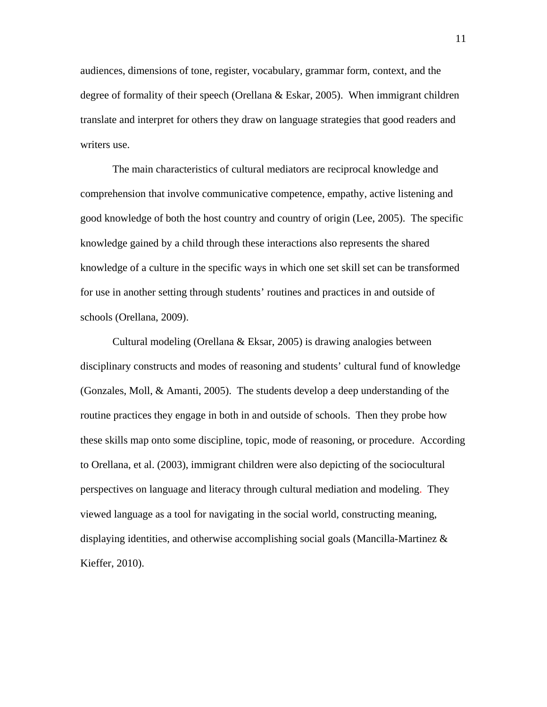audiences, dimensions of tone, register, vocabulary, grammar form, context, and the degree of formality of their speech (Orellana & Eskar, 2005). When immigrant children translate and interpret for others they draw on language strategies that good readers and writers use.

The main characteristics of cultural mediators are reciprocal knowledge and comprehension that involve communicative competence, empathy, active listening and good knowledge of both the host country and country of origin (Lee, 2005). The specific knowledge gained by a child through these interactions also represents the shared knowledge of a culture in the specific ways in which one set skill set can be transformed for use in another setting through students' routines and practices in and outside of schools (Orellana, 2009).

Cultural modeling (Orellana & Eksar, 2005) is drawing analogies between disciplinary constructs and modes of reasoning and students' cultural fund of knowledge (Gonzales, Moll, & Amanti, 2005). The students develop a deep understanding of the routine practices they engage in both in and outside of schools. Then they probe how these skills map onto some discipline, topic, mode of reasoning, or procedure. According to Orellana, et al. (2003), immigrant children were also depicting of the sociocultural perspectives on language and literacy through cultural mediation and modeling. They viewed language as a tool for navigating in the social world, constructing meaning, displaying identities, and otherwise accomplishing social goals (Mancilla-Martinez  $\&$ Kieffer, 2010).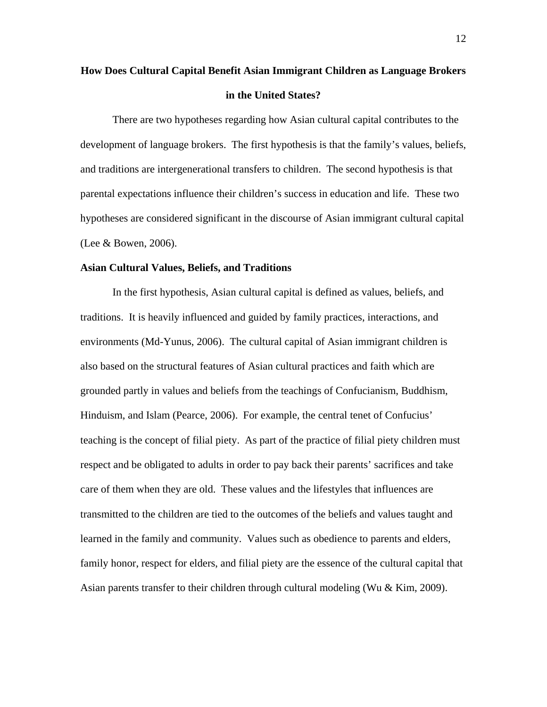# **How Does Cultural Capital Benefit Asian Immigrant Children as Language Brokers in the United States?**

There are two hypotheses regarding how Asian cultural capital contributes to the development of language brokers. The first hypothesis is that the family's values, beliefs, and traditions are intergenerational transfers to children. The second hypothesis is that parental expectations influence their children's success in education and life. These two hypotheses are considered significant in the discourse of Asian immigrant cultural capital (Lee & Bowen, 2006).

#### **Asian Cultural Values, Beliefs, and Traditions**

In the first hypothesis, Asian cultural capital is defined as values, beliefs, and traditions. It is heavily influenced and guided by family practices, interactions, and environments (Md-Yunus, 2006). The cultural capital of Asian immigrant children is also based on the structural features of Asian cultural practices and faith which are grounded partly in values and beliefs from the teachings of Confucianism, Buddhism, Hinduism, and Islam (Pearce, 2006). For example, the central tenet of Confucius' teaching is the concept of filial piety. As part of the practice of filial piety children must respect and be obligated to adults in order to pay back their parents' sacrifices and take care of them when they are old. These values and the lifestyles that influences are transmitted to the children are tied to the outcomes of the beliefs and values taught and learned in the family and community. Values such as obedience to parents and elders, family honor, respect for elders, and filial piety are the essence of the cultural capital that Asian parents transfer to their children through cultural modeling (Wu & Kim, 2009).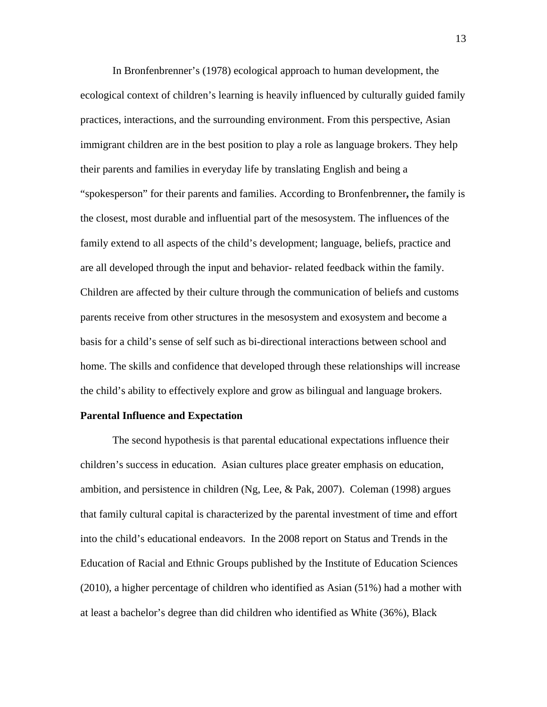In Bronfenbrenner's (1978) ecological approach to human development, the ecological context of children's learning is heavily influenced by culturally guided family practices, interactions, and the surrounding environment. From this perspective, Asian immigrant children are in the best position to play a role as language brokers. They help their parents and families in everyday life by translating English and being a "spokesperson" for their parents and families. According to Bronfenbrenner**,** the family is the closest, most durable and influential part of the mesosystem. The influences of the family extend to all aspects of the child's development; language, beliefs, practice and are all developed through the input and behavior- related feedback within the family. Children are affected by their culture through the communication of beliefs and customs parents receive from other structures in the mesosystem and exosystem and become a basis for a child's sense of self such as bi-directional interactions between school and home. The skills and confidence that developed through these relationships will increase the child's ability to effectively explore and grow as bilingual and language brokers.

#### **Parental Influence and Expectation**

The second hypothesis is that parental educational expectations influence their children's success in education. Asian cultures place greater emphasis on education, ambition, and persistence in children (Ng, Lee, & Pak, 2007). Coleman (1998) argues that family cultural capital is characterized by the parental investment of time and effort into the child's educational endeavors. In the 2008 report on Status and Trends in the Education of Racial and Ethnic Groups published by the Institute of Education Sciences (2010), a higher percentage of children who identified as Asian (51%) had a mother with at least a bachelor's degree than did children who identified as White (36%), Black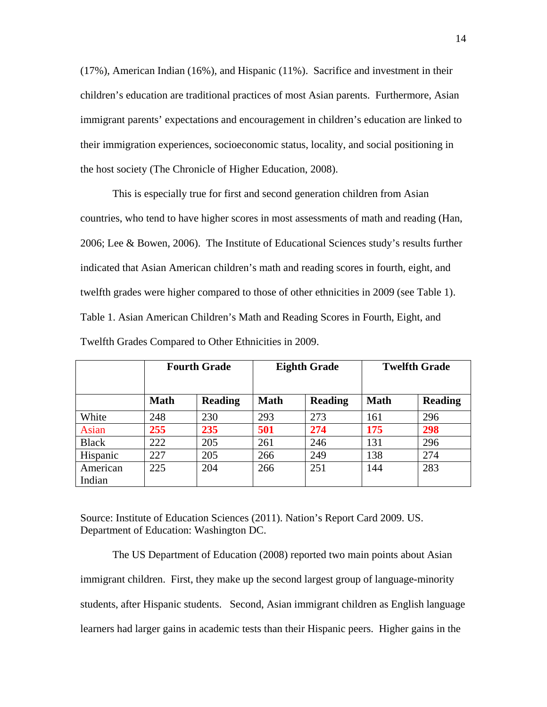(17%), American Indian (16%), and Hispanic (11%). Sacrifice and investment in their children's education are traditional practices of most Asian parents. Furthermore, Asian immigrant parents' expectations and encouragement in children's education are linked to their immigration experiences, socioeconomic status, locality, and social positioning in the host society (The Chronicle of Higher Education, 2008).

This is especially true for first and second generation children from Asian countries, who tend to have higher scores in most assessments of math and reading (Han, 2006; Lee & Bowen, 2006). The Institute of Educational Sciences study's results further indicated that Asian American children's math and reading scores in fourth, eight, and twelfth grades were higher compared to those of other ethnicities in 2009 (see Table 1). Table 1. Asian American Children's Math and Reading Scores in Fourth, Eight, and Twelfth Grades Compared to Other Ethnicities in 2009.

|                    | <b>Fourth Grade</b> |                | <b>Eighth Grade</b> |                | <b>Twelfth Grade</b> |                |
|--------------------|---------------------|----------------|---------------------|----------------|----------------------|----------------|
|                    | <b>Math</b>         | <b>Reading</b> | <b>Math</b>         | <b>Reading</b> | <b>Math</b>          | <b>Reading</b> |
| White              | 248                 | 230            | 293                 | 273            | 161                  | 296            |
| Asian              | 255                 | 235            | 501                 | 274            | <b>175</b>           | 298            |
| <b>Black</b>       | 222                 | 205            | 261                 | 246            | 131                  | 296            |
| Hispanic           | 227                 | 205            | 266                 | 249            | 138                  | 274            |
| American<br>Indian | 225                 | 204            | 266                 | 251            | 144                  | 283            |

Source: Institute of Education Sciences (2011). Nation's Report Card 2009. US. Department of Education: Washington DC.

The US Department of Education (2008) reported two main points about Asian immigrant children. First, they make up the second largest group of language-minority students, after Hispanic students. Second, Asian immigrant children as English language learners had larger gains in academic tests than their Hispanic peers. Higher gains in the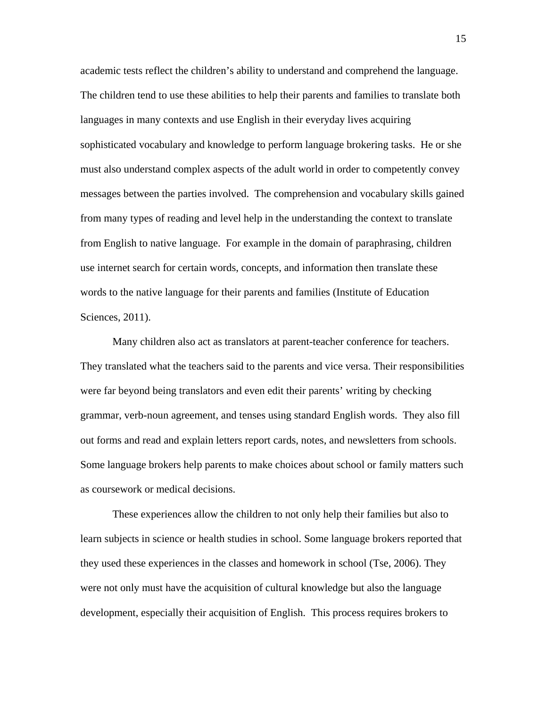academic tests reflect the children's ability to understand and comprehend the language. The children tend to use these abilities to help their parents and families to translate both languages in many contexts and use English in their everyday lives acquiring sophisticated vocabulary and knowledge to perform language brokering tasks. He or she must also understand complex aspects of the adult world in order to competently convey messages between the parties involved. The comprehension and vocabulary skills gained from many types of reading and level help in the understanding the context to translate from English to native language. For example in the domain of paraphrasing, children use internet search for certain words, concepts, and information then translate these words to the native language for their parents and families (Institute of Education Sciences, 2011).

Many children also act as translators at parent-teacher conference for teachers. They translated what the teachers said to the parents and vice versa. Their responsibilities were far beyond being translators and even edit their parents' writing by checking grammar, verb-noun agreement, and tenses using standard English words. They also fill out forms and read and explain letters report cards, notes, and newsletters from schools. Some language brokers help parents to make choices about school or family matters such as coursework or medical decisions.

These experiences allow the children to not only help their families but also to learn subjects in science or health studies in school. Some language brokers reported that they used these experiences in the classes and homework in school (Tse, 2006). They were not only must have the acquisition of cultural knowledge but also the language development, especially their acquisition of English. This process requires brokers to

15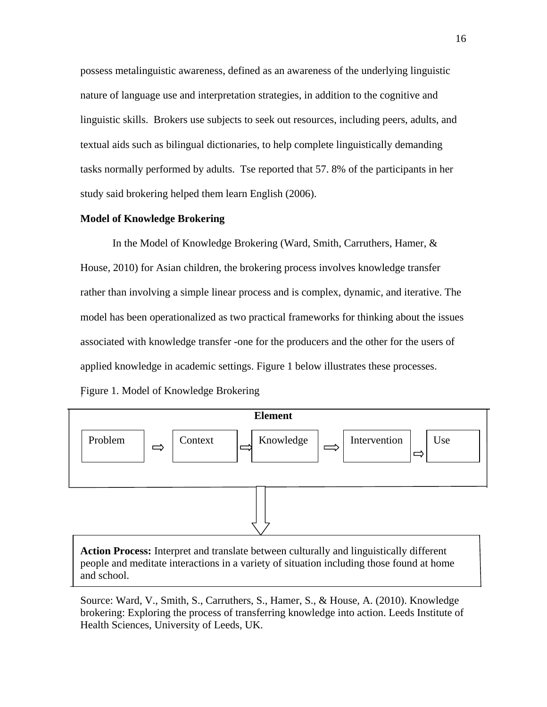possess metalinguistic awareness, defined as an awareness of the underlying linguistic nature of language use and interpretation strategies, in addition to the cognitive and linguistic skills. Brokers use subjects to seek out resources, including peers, adults, and textual aids such as bilingual dictionaries, to help complete linguistically demanding tasks normally performed by adults. Tse reported that 57. 8% of the participants in her study said brokering helped them learn English (2006).

#### **Model of Knowledge Brokering**

In the Model of Knowledge Brokering (Ward, Smith, Carruthers, Hamer, & House, 2010) for Asian children, the brokering process involves knowledge transfer rather than involving a simple linear process and is complex, dynamic, and iterative. The model has been operationalized as two practical frameworks for thinking about the issues associated with knowledge transfer -one for the producers and the other for the users of applied knowledge in academic settings. Figure 1 below illustrates these processes. Figure 1. Model of Knowledge Brokering



**Action Process:** Interpret and translate between culturally and linguistically different people and meditate interactions in a variety of situation including those found at home and school.

Source: Ward, V., Smith, S., Carruthers, S., Hamer, S., & House, A. (2010). Knowledge brokering: Exploring the process of transferring knowledge into action. Leeds Institute of Health Sciences, University of Leeds, UK.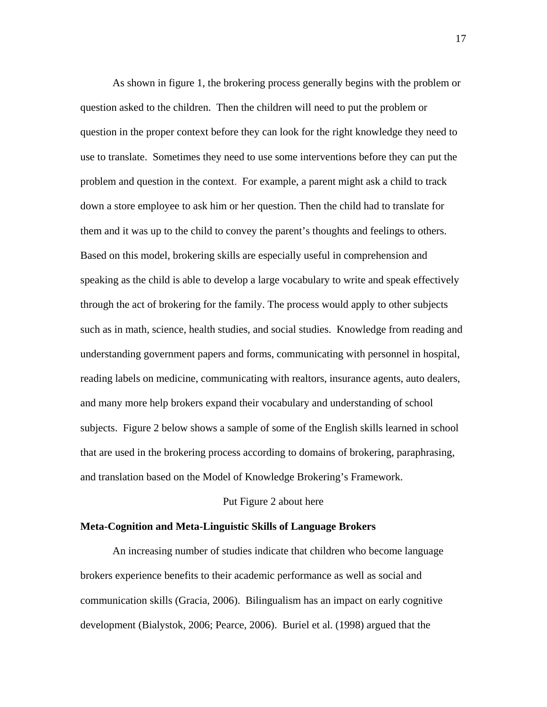As shown in figure 1, the brokering process generally begins with the problem or question asked to the children. Then the children will need to put the problem or question in the proper context before they can look for the right knowledge they need to use to translate. Sometimes they need to use some interventions before they can put the problem and question in the context. For example, a parent might ask a child to track down a store employee to ask him or her question. Then the child had to translate for them and it was up to the child to convey the parent's thoughts and feelings to others. Based on this model, brokering skills are especially useful in comprehension and speaking as the child is able to develop a large vocabulary to write and speak effectively through the act of brokering for the family. The process would apply to other subjects such as in math, science, health studies, and social studies. Knowledge from reading and understanding government papers and forms, communicating with personnel in hospital, reading labels on medicine, communicating with realtors, insurance agents, auto dealers, and many more help brokers expand their vocabulary and understanding of school subjects. Figure 2 below shows a sample of some of the English skills learned in school that are used in the brokering process according to domains of brokering, paraphrasing, and translation based on the Model of Knowledge Brokering's Framework.

#### Put Figure 2 about here

#### **Meta-Cognition and Meta-Linguistic Skills of Language Brokers**

An increasing number of studies indicate that children who become language brokers experience benefits to their academic performance as well as social and communication skills (Gracia, 2006). Bilingualism has an impact on early cognitive development (Bialystok, 2006; Pearce, 2006).Buriel et al. (1998) argued that the

17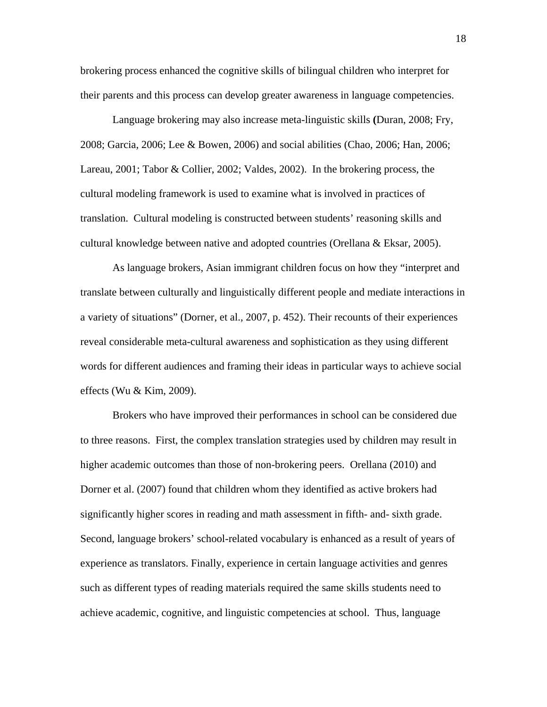brokering process enhanced the cognitive skills of bilingual children who interpret for their parents and this process can develop greater awareness in language competencies.

Language brokering may also increase meta-linguistic skills **(**Duran, 2008; Fry, 2008; Garcia, 2006; Lee & Bowen, 2006) and social abilities (Chao, 2006; Han, 2006; Lareau, 2001; Tabor & Collier, 2002; Valdes, 2002). In the brokering process, the cultural modeling framework is used to examine what is involved in practices of translation. Cultural modeling is constructed between students' reasoning skills and cultural knowledge between native and adopted countries (Orellana & Eksar, 2005).

As language brokers, Asian immigrant children focus on how they "interpret and translate between culturally and linguistically different people and mediate interactions in a variety of situations" (Dorner, et al., 2007, p. 452). Their recounts of their experiences reveal considerable meta-cultural awareness and sophistication as they using different words for different audiences and framing their ideas in particular ways to achieve social effects (Wu & Kim, 2009).

Brokers who have improved their performances in school can be considered due to three reasons. First, the complex translation strategies used by children may result in higher academic outcomes than those of non-brokering peers. Orellana (2010) and Dorner et al. (2007) found that children whom they identified as active brokers had significantly higher scores in reading and math assessment in fifth- and- sixth grade. Second, language brokers' school-related vocabulary is enhanced as a result of years of experience as translators. Finally, experience in certain language activities and genres such as different types of reading materials required the same skills students need to achieve academic, cognitive, and linguistic competencies at school. Thus, language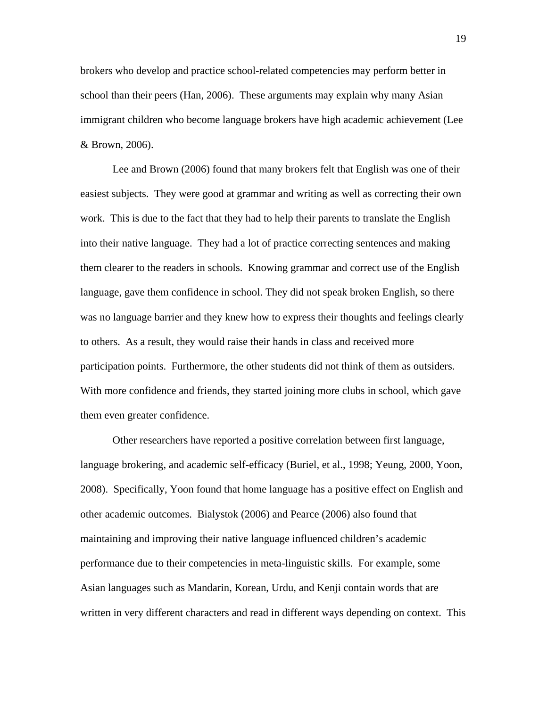brokers who develop and practice school-related competencies may perform better in school than their peers (Han, 2006). These arguments may explain why many Asian immigrant children who become language brokers have high academic achievement (Lee & Brown, 2006).

Lee and Brown (2006) found that many brokers felt that English was one of their easiest subjects. They were good at grammar and writing as well as correcting their own work. This is due to the fact that they had to help their parents to translate the English into their native language. They had a lot of practice correcting sentences and making them clearer to the readers in schools. Knowing grammar and correct use of the English language, gave them confidence in school. They did not speak broken English, so there was no language barrier and they knew how to express their thoughts and feelings clearly to others. As a result, they would raise their hands in class and received more participation points. Furthermore, the other students did not think of them as outsiders. With more confidence and friends, they started joining more clubs in school, which gave them even greater confidence.

Other researchers have reported a positive correlation between first language, language brokering, and academic self-efficacy (Buriel, et al., 1998; Yeung, 2000, Yoon, 2008). Specifically, Yoon found that home language has a positive effect on English and other academic outcomes. Bialystok (2006) and Pearce (2006) also found that maintaining and improving their native language influenced children's academic performance due to their competencies in meta-linguistic skills. For example, some Asian languages such as Mandarin, Korean, Urdu, and Kenji contain words that are written in very different characters and read in different ways depending on context. This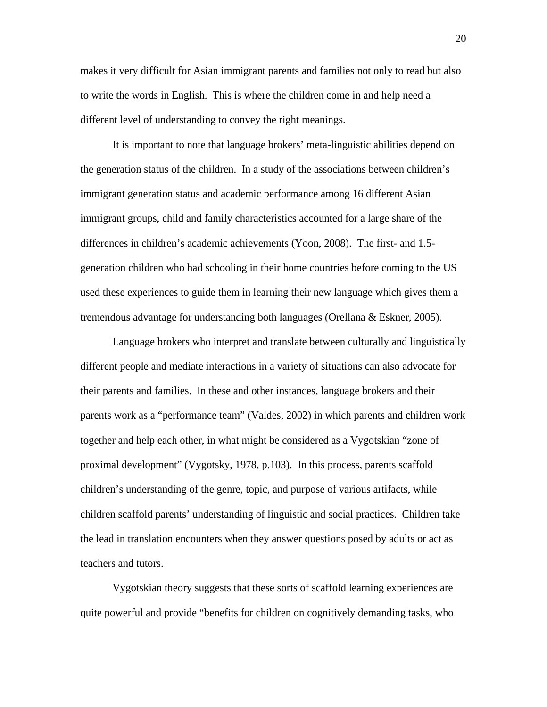makes it very difficult for Asian immigrant parents and families not only to read but also to write the words in English. This is where the children come in and help need a different level of understanding to convey the right meanings.

It is important to note that language brokers' meta-linguistic abilities depend on the generation status of the children. In a study of the associations between children's immigrant generation status and academic performance among 16 different Asian immigrant groups, child and family characteristics accounted for a large share of the differences in children's academic achievements (Yoon, 2008). The first- and 1.5 generation children who had schooling in their home countries before coming to the US used these experiences to guide them in learning their new language which gives them a tremendous advantage for understanding both languages (Orellana & Eskner, 2005).

Language brokers who interpret and translate between culturally and linguistically different people and mediate interactions in a variety of situations can also advocate for their parents and families. In these and other instances, language brokers and their parents work as a "performance team" (Valdes, 2002) in which parents and children work together and help each other, in what might be considered as a Vygotskian "zone of proximal development" (Vygotsky, 1978, p.103). In this process, parents scaffold children's understanding of the genre, topic, and purpose of various artifacts, while children scaffold parents' understanding of linguistic and social practices. Children take the lead in translation encounters when they answer questions posed by adults or act as teachers and tutors.

Vygotskian theory suggests that these sorts of scaffold learning experiences are quite powerful and provide "benefits for children on cognitively demanding tasks, who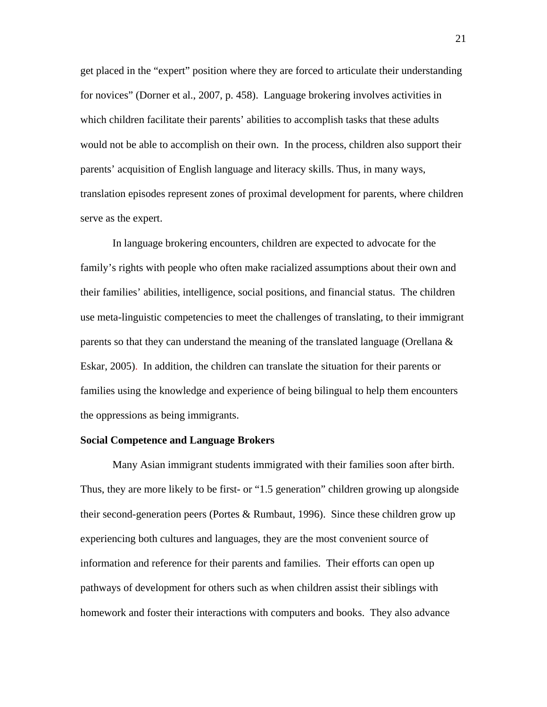get placed in the "expert" position where they are forced to articulate their understanding for novices" (Dorner et al., 2007, p. 458). Language brokering involves activities in which children facilitate their parents' abilities to accomplish tasks that these adults would not be able to accomplish on their own. In the process, children also support their parents' acquisition of English language and literacy skills. Thus, in many ways, translation episodes represent zones of proximal development for parents, where children serve as the expert.

In language brokering encounters, children are expected to advocate for the family's rights with people who often make racialized assumptions about their own and their families' abilities, intelligence, social positions, and financial status. The children use meta-linguistic competencies to meet the challenges of translating, to their immigrant parents so that they can understand the meaning of the translated language (Orellana  $\&$ Eskar, 2005). In addition, the children can translate the situation for their parents or families using the knowledge and experience of being bilingual to help them encounters the oppressions as being immigrants.

#### **Social Competence and Language Brokers**

Many Asian immigrant students immigrated with their families soon after birth. Thus, they are more likely to be first- or "1.5 generation" children growing up alongside their second-generation peers (Portes & Rumbaut, 1996). Since these children grow up experiencing both cultures and languages, they are the most convenient source of information and reference for their parents and families. Their efforts can open up pathways of development for others such as when children assist their siblings with homework and foster their interactions with computers and books. They also advance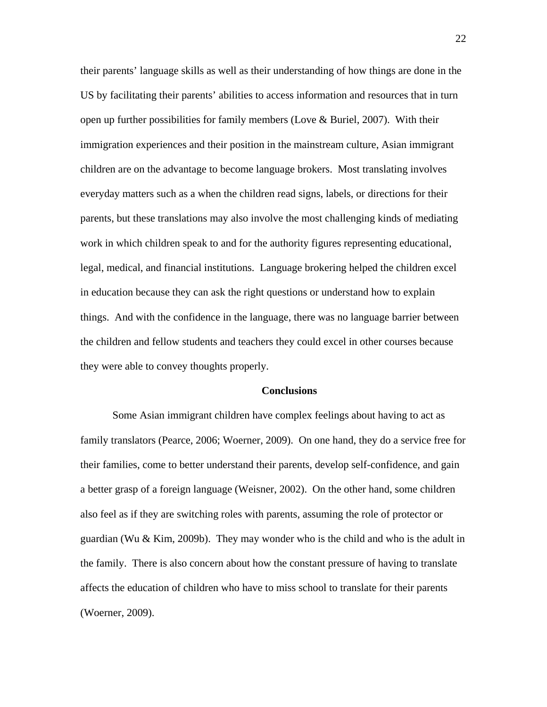their parents' language skills as well as their understanding of how things are done in the US by facilitating their parents' abilities to access information and resources that in turn open up further possibilities for family members (Love  $\&$  Buriel, 2007). With their immigration experiences and their position in the mainstream culture, Asian immigrant children are on the advantage to become language brokers. Most translating involves everyday matters such as a when the children read signs, labels, or directions for their parents, but these translations may also involve the most challenging kinds of mediating work in which children speak to and for the authority figures representing educational, legal, medical, and financial institutions. Language brokering helped the children excel in education because they can ask the right questions or understand how to explain things. And with the confidence in the language, there was no language barrier between the children and fellow students and teachers they could excel in other courses because they were able to convey thoughts properly.

#### **Conclusions**

Some Asian immigrant children have complex feelings about having to act as family translators (Pearce, 2006; Woerner, 2009). On one hand, they do a service free for their families, come to better understand their parents, develop self-confidence, and gain a better grasp of a foreign language (Weisner, 2002). On the other hand, some children also feel as if they are switching roles with parents, assuming the role of protector or guardian (Wu & Kim, 2009b). They may wonder who is the child and who is the adult in the family. There is also concern about how the constant pressure of having to translate affects the education of children who have to miss school to translate for their parents (Woerner, 2009).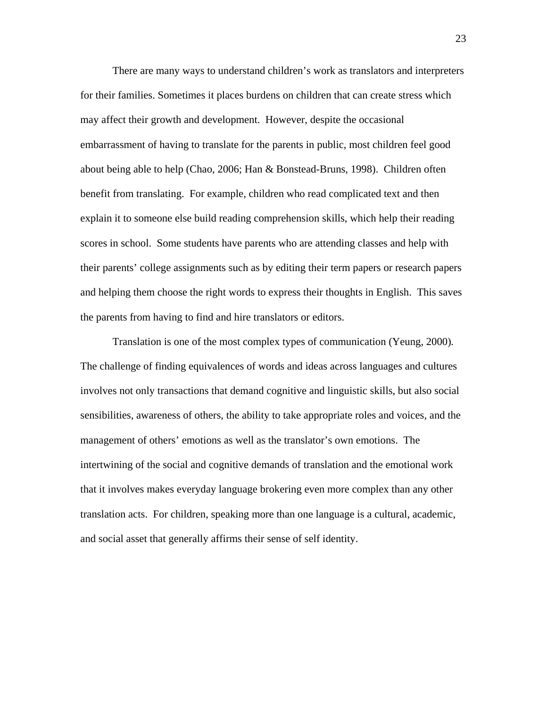There are many ways to understand children's work as translators and interpreters for their families. Sometimes it places burdens on children that can create stress which may affect their growth and development. However, despite the occasional embarrassment of having to translate for the parents in public, most children feel good about being able to help (Chao, 2006; Han & Bonstead-Bruns, 1998). Children often benefit from translating. For example, children who read complicated text and then explain it to someone else build reading comprehension skills, which help their reading scores in school. Some students have parents who are attending classes and help with their parents' college assignments such as by editing their term papers or research papers and helping them choose the right words to express their thoughts in English. This saves the parents from having to find and hire translators or editors.

Translation is one of the most complex types of communication (Yeung, 2000)*.*  The challenge of finding equivalences of words and ideas across languages and cultures involves not only transactions that demand cognitive and linguistic skills, but also social sensibilities, awareness of others, the ability to take appropriate roles and voices, and the management of others' emotions as well as the translator's own emotions. The intertwining of the social and cognitive demands of translation and the emotional work that it involves makes everyday language brokering even more complex than any other translation acts. For children, speaking more than one language is a cultural, academic, and social asset that generally affirms their sense of self identity.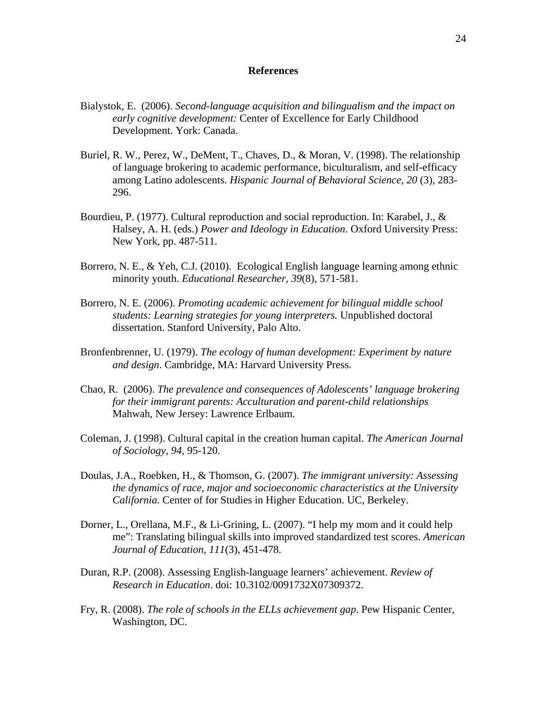#### **References**

- Bialystok, E. (2006). *Second-language acquisition and bilingualism and the impact on early cognitive development:* Center of Excellence for Early Childhood Development. York: Canada.
- Buriel, R. W., Perez, W., DeMent, T., Chaves, D., & Moran, V. (1998). The relationship of language brokering to academic performance, biculturalism, and self-efficacy among Latino adolescents. *Hispanic Journal of Behavioral Science, 20* (3), 283- 296.
- Bourdieu, P. (1977). Cultural reproduction and social reproduction. In: Karabel, J., & Halsey, A. H. (eds.) *Power and Ideology in Education*. Oxford University Press: New York, pp. 487-511.
- Borrero, N. E., & Yeh, C.J. (2010). Ecological English language learning among ethnic minority youth. *Educational Researcher, 39*(8), 571-581.
- Borrero, N. E. (2006). *Promoting academic achievement for bilingual middle school students: Learning strategies for young interpreters.* Unpublished doctoral dissertation. Stanford University, Palo Alto.
- Bronfenbrenner, U. (1979). *The ecology of human development: Experiment by nature and design*. Cambridge, MA: Harvard University Press.
- Chao, R. (2006). *The prevalence and consequences of Adolescents' language brokering for their immigrant parents: Acculturation and parent-child relationships* Mahwah, New Jersey: Lawrence Erlbaum.
- Coleman, J. (1998). Cultural capital in the creation human capital. *The American Journal of Sociology, 94,* 95-120.
- Doulas, J.A., Roebken, H., & Thomson, G. (2007). *The immigrant university: Assessing the dynamics of race, major and socioeconomic characteristics at the University California.* Center of for Studies in Higher Education. UC, Berkeley.
- Dorner, L., Orellana, M.F., & Li-Grining, L. (2007). "I help my mom and it could help me": Translating bilingual skills into improved standardized test scores. *American Journal of Education, 111*(3), 451-478.
- Duran, R.P. (2008). Assessing English-language learners' achievement. *Review of Research in Education*. doi: 10.3102/0091732X07309372.
- Fry, R. (2008). *The role of schools in the ELLs achievement gap*. Pew Hispanic Center, Washington, DC.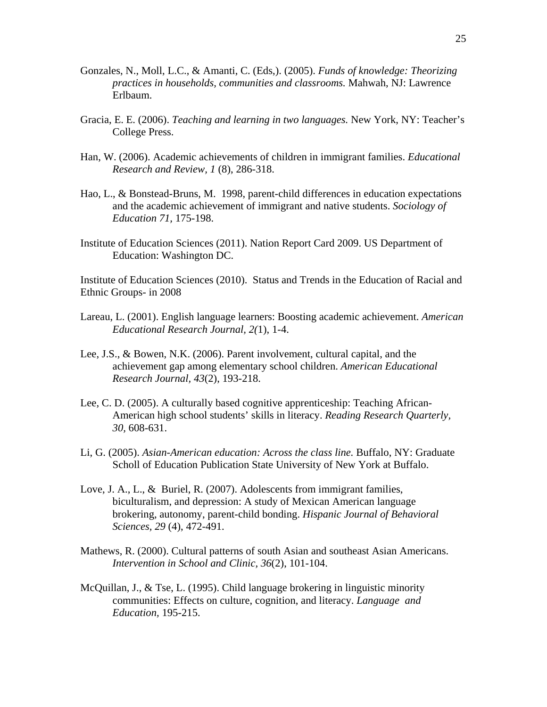- Gonzales, N., Moll, L.C., & Amanti, C. (Eds,). (2005). *Funds of knowledge: Theorizing practices in households, communities and classrooms.* Mahwah, NJ: Lawrence Erlbaum.
- Gracia, E. E. (2006). *Teaching and learning in two languages.* New York, NY: Teacher's College Press.
- Han, W. (2006). Academic achievements of children in immigrant families. *Educational Research and Review, 1* (8), 286-318.
- Hao, L., & Bonstead-Bruns, M. 1998, parent-child differences in education expectations and the academic achievement of immigrant and native students. *Sociology of Education 71,* 175-198.
- Institute of Education Sciences (2011). Nation Report Card 2009. US Department of Education: Washington DC.

Institute of Education Sciences (2010). Status and Trends in the Education of Racial and Ethnic Groups- in 2008

- Lareau, L. (2001). English language learners: Boosting academic achievement. *American Educational Research Journal, 2(*1), 1-4.
- Lee, J.S., & Bowen, N.K. (2006). Parent involvement, cultural capital, and the achievement gap among elementary school children. *American Educational Research Journal, 43*(2), 193-218.
- Lee, C. D. (2005). A culturally based cognitive apprenticeship: Teaching African-American high school students' skills in literacy. *Reading Research Quarterly, 30,* 608-631.
- Li, G. (2005). *Asian-American education: Across the class line.* Buffalo, NY: Graduate Scholl of Education Publication State University of New York at Buffalo.
- Love, J. A., L., & Buriel, R. (2007). Adolescents from immigrant families, biculturalism, and depression: A study of Mexican American language brokering, autonomy, parent-child bonding. *Hispanic Journal of Behavioral Sciences, 29* (4), 472-491.
- Mathews, R. (2000). Cultural patterns of south Asian and southeast Asian Americans. *Intervention in School and Clinic, 36*(2), 101-104.
- McQuillan, J., & Tse, L. (1995). Child language brokering in linguistic minority communities: Effects on culture, cognition, and literacy. *Language and Education,* 195-215.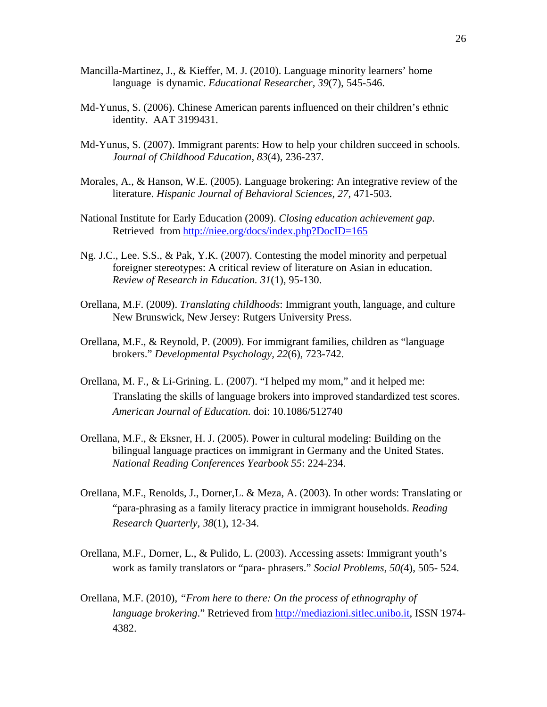- Mancilla-Martinez, J., & Kieffer, M. J. (2010). Language minority learners' home language is dynamic. *Educational Researcher, 39*(7), 545-546.
- Md-Yunus, S. (2006). Chinese American parents influenced on their children's ethnic identity. AAT 3199431.
- Md-Yunus, S. (2007). Immigrant parents: How to help your children succeed in schools. *Journal of Childhood Education, 83*(4), 236-237.
- Morales, A., & Hanson, W.E. (2005). Language brokering: An integrative review of the literature. *Hispanic Journal of Behavioral Sciences, 27*, 471-503.
- National Institute for Early Education (2009). *Closing education achievement gap*. Retrieved from<http://niee.org/docs/index.php?DocID=165>
- Ng. J.C., Lee. S.S., & Pak, Y.K. (2007). Contesting the model minority and perpetual foreigner stereotypes: A critical review of literature on Asian in education. *Review of Research in Education. 31*(1), 95-130.
- Orellana, M.F. (2009). *Translating childhoods*: Immigrant youth, language, and culture New Brunswick, New Jersey: Rutgers University Press.
- Orellana, M.F., & Reynold, P. (2009). For immigrant families, children as "language brokers." *Developmental Psychology, 22*(6), 723-742.
- Orellana, M. F., & Li-Grining. L. (2007). "I helped my mom," and it helped me: Translating the skills of language brokers into improved standardized test scores. *American Journal of Education*. doi: 10.1086/512740
- Orellana, M.F., & Eksner, H. J. (2005). Power in cultural modeling: Building on the bilingual language practices on immigrant in Germany and the United States. *National Reading Conferences Yearbook 55*: 224-234.
- Orellana, M.F., Renolds, J., Dorner,L. & Meza, A. (2003). In other words: Translating or "para-phrasing as a family literacy practice in immigrant households. *Reading Research Quarterly, 38*(1), 12-34.
- Orellana, M.F., Dorner, L., & Pulido, L. (2003). Accessing assets: Immigrant youth's work as family translators or "para- phrasers." *Social Problems, 50(*4), 505- 524.
- Orellana, M.F. (2010), *"From here to there: On the process of ethnography of language brokering*." Retrieved from [http://mediazioni.sitlec.unibo.it,](http://mediazioni.sitlec.unibo.it/) ISSN 1974- 4382.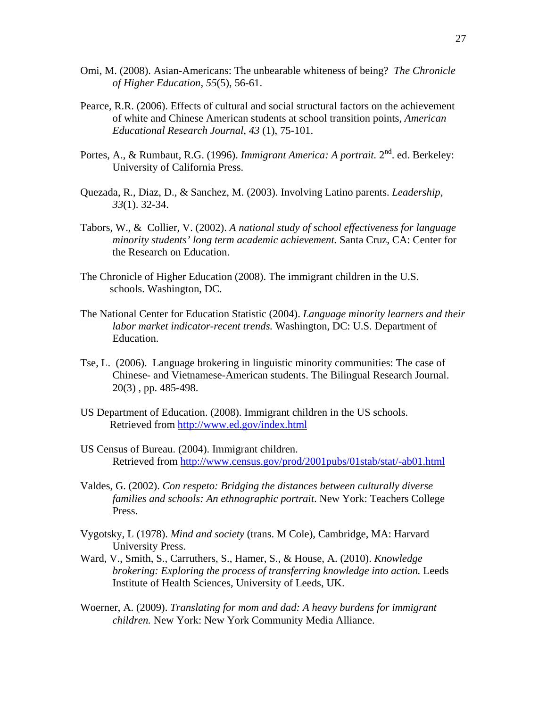- Omi, M. (2008). Asian-Americans: The unbearable whiteness of being? *The Chronicle of Higher Education, 55*(5), 56-61.
- Pearce, R.R. (2006). Effects of cultural and social structural factors on the achievement of white and Chinese American students at school transition points, *American Educational Research Journal, 43* (1), 75-101.
- Portes, A., & Rumbaut, R.G. (1996). *Immigrant America: A portrait*. 2<sup>nd</sup>. ed. Berkeley: University of California Press.
- Quezada, R., Diaz, D., & Sanchez, M. (2003). Involving Latino parents. *Leadership, 33*(1). 32-34.
- Tabors, W., & Collier, V. (2002). *A national study of school effectiveness for language minority students' long term academic achievement.* Santa Cruz, CA: Center for the Research on Education.
- The Chronicle of Higher Education (2008). The immigrant children in the U.S. schools. Washington, DC.
- The National Center for Education Statistic (2004). *Language minority learners and their labor market indicator-recent trends.* Washington, DC: U.S. Department of Education.
- Tse, L. (2006). Language brokering in linguistic minority communities: The case of Chinese- and Vietnamese-American students. The Bilingual Research Journal. 20(3) , pp. 485-498.
- US Department of Education. (2008). Immigrant children in the US schools. Retrieved from<http://www.ed.gov/index.html>
- US Census of Bureau. (2004). Immigrant children. Retrieved from<http://www.census.gov/prod/2001pubs/01stab/stat/-ab01.html>
- Valdes, G. (2002). *Con respeto: Bridging the distances between culturally diverse families and schools: An ethnographic portrait*. New York: Teachers College Press.
- Vygotsky, L (1978). *Mind and society* (trans. M Cole), Cambridge, MA: Harvard University Press.
- Ward, V., Smith, S., Carruthers, S., Hamer, S., & House, A. (2010). *Knowledge brokering: Exploring the process of transferring knowledge into action.* Leeds Institute of Health Sciences, University of Leeds, UK.
- Woerner, A. (2009). *Translating for mom and dad: A heavy burdens for immigrant children.* New York: New York Community Media Alliance.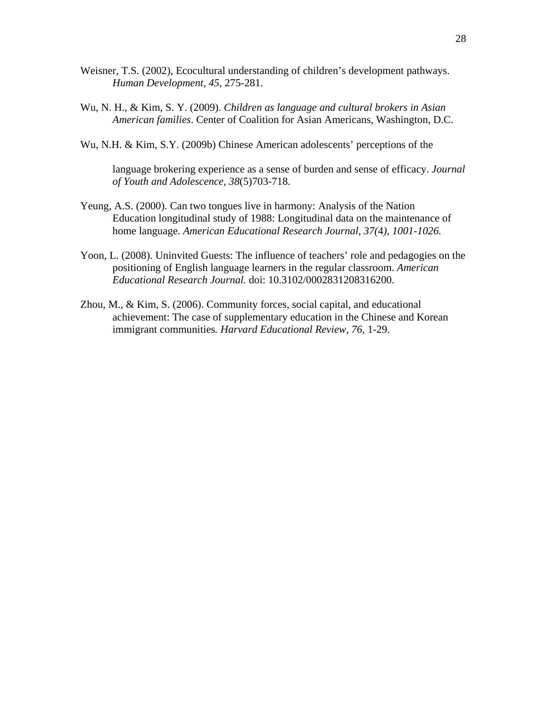- Weisner, T.S. (2002), Ecocultural understanding of children's development pathways. *Human Development, 45*, 275-281.
- Wu, N. H., & Kim, S. Y. (2009). *Children as language and cultural brokers in Asian American families*. Center of Coalition for Asian Americans, Washington, D.C.
- Wu, N.H. & Kim, S.Y. (2009b) Chinese American adolescents' perceptions of the

language brokering experience as a sense of burden and sense of efficacy. *Journal of Youth and Adolescence, 38*(5)703-718.

- Yeung, A.S. (2000). Can two tongues live in harmony: Analysis of the Nation Education longitudinal study of 1988: Longitudinal data on the maintenance of home language. *American Educational Research Journal, 37(*4*), 1001-1026.*
- Yoon, L. (2008). Uninvited Guests: The influence of teachers' role and pedagogies on the positioning of English language learners in the regular classroom. *American Educational Research Journal.* doi: 10.3102/0002831208316200.
- Zhou, M., & Kim, S. (2006). Community forces, social capital, and educational achievement: The case of supplementary education in the Chinese and Korean immigrant communities*. Harvard Educational Review, 76,* 1-29.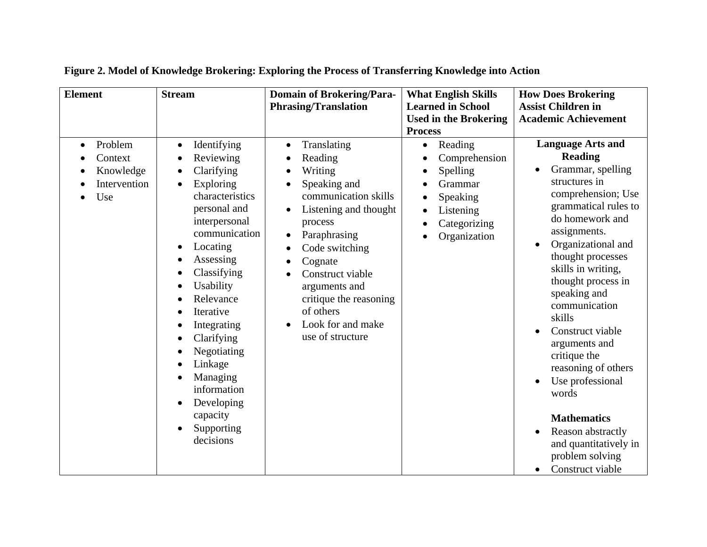| <b>Element</b>                                                      | <b>Stream</b>                                                                                                                                                                                                                                                                                                                                                                                                                                                       | <b>Domain of Brokering/Para-</b><br><b>Phrasing/Translation</b>                                                                                                                                                                                                                                           | <b>What English Skills</b><br><b>Learned in School</b><br><b>Used in the Brokering</b><br><b>Process</b>                                                                                                         | <b>How Does Brokering</b><br><b>Assist Children in</b><br><b>Academic Achievement</b>                                                                                                                                                                                                                                                                                                                                                                                                                                                |
|---------------------------------------------------------------------|---------------------------------------------------------------------------------------------------------------------------------------------------------------------------------------------------------------------------------------------------------------------------------------------------------------------------------------------------------------------------------------------------------------------------------------------------------------------|-----------------------------------------------------------------------------------------------------------------------------------------------------------------------------------------------------------------------------------------------------------------------------------------------------------|------------------------------------------------------------------------------------------------------------------------------------------------------------------------------------------------------------------|--------------------------------------------------------------------------------------------------------------------------------------------------------------------------------------------------------------------------------------------------------------------------------------------------------------------------------------------------------------------------------------------------------------------------------------------------------------------------------------------------------------------------------------|
| Problem<br>$\bullet$<br>Context<br>Knowledge<br>Intervention<br>Use | Identifying<br>$\bullet$<br>Reviewing<br>$\bullet$<br>Clarifying<br>$\bullet$<br>Exploring<br>$\bullet$<br>characteristics<br>personal and<br>interpersonal<br>communication<br>Locating<br>$\bullet$<br>Assessing<br>Classifying<br>Usability<br>$\bullet$<br>Relevance<br>Iterative<br>Integrating<br>Clarifying<br>$\bullet$<br>Negotiating<br>Linkage<br>Managing<br>information<br>Developing<br>$\bullet$<br>capacity<br>Supporting<br>$\bullet$<br>decisions | Translating<br>$\bullet$<br>Reading<br>Writing<br>Speaking and<br>communication skills<br>Listening and thought<br>process<br>Paraphrasing<br>$\bullet$<br>Code switching<br>Cognate<br>Construct viable<br>arguments and<br>critique the reasoning<br>of others<br>Look for and make<br>use of structure | Reading<br>$\bullet$<br>Comprehension<br>$\bullet$<br>Spelling<br>$\bullet$<br>Grammar<br>$\bullet$<br>Speaking<br>$\bullet$<br>Listening<br>$\bullet$<br>Categorizing<br>$\bullet$<br>Organization<br>$\bullet$ | <b>Language Arts and</b><br><b>Reading</b><br>Grammar, spelling<br>structures in<br>comprehension; Use<br>grammatical rules to<br>do homework and<br>assignments.<br>Organizational and<br>thought processes<br>skills in writing,<br>thought process in<br>speaking and<br>communication<br>skills<br>Construct viable<br>arguments and<br>critique the<br>reasoning of others<br>Use professional<br>words<br><b>Mathematics</b><br>Reason abstractly<br>and quantitatively in<br>problem solving<br>Construct viable<br>$\bullet$ |

**Figure 2. Model of Knowledge Brokering: Exploring the Process of Transferring Knowledge into Action**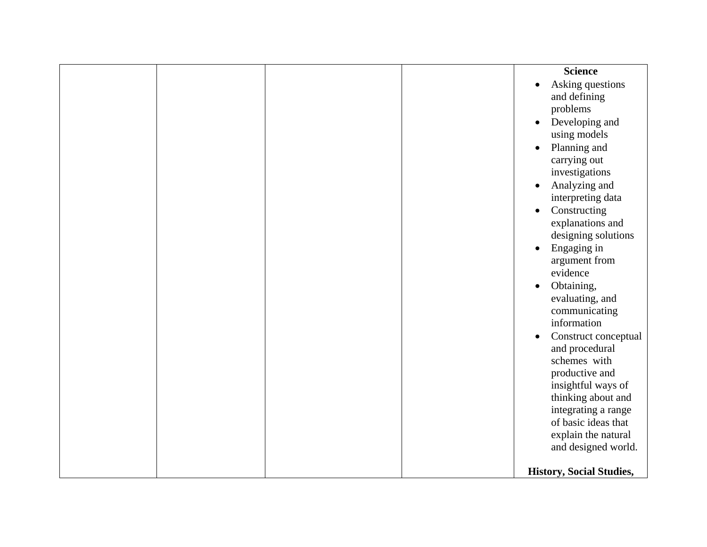|  | <b>Science</b><br>Asking questions<br>$\bullet$ |
|--|-------------------------------------------------|
|  | and defining                                    |
|  | problems                                        |
|  | Developing and<br>$\bullet$                     |
|  | using models                                    |
|  | Planning and<br>$\bullet$                       |
|  | carrying out<br>investigations                  |
|  | Analyzing and<br>$\bullet$                      |
|  | interpreting data                               |
|  | Constructing<br>$\bullet$                       |
|  | explanations and                                |
|  | designing solutions                             |
|  | Engaging in<br>$\bullet$                        |
|  | argument from<br>evidence                       |
|  | Obtaining,<br>$\bullet$                         |
|  | evaluating, and                                 |
|  | communicating                                   |
|  | information                                     |
|  | Construct conceptual<br>$\bullet$               |
|  | and procedural<br>schemes with                  |
|  | productive and                                  |
|  | insightful ways of                              |
|  | thinking about and                              |
|  | integrating a range                             |
|  | of basic ideas that                             |
|  | explain the natural<br>and designed world.      |
|  |                                                 |
|  | <b>History, Social Studies,</b>                 |